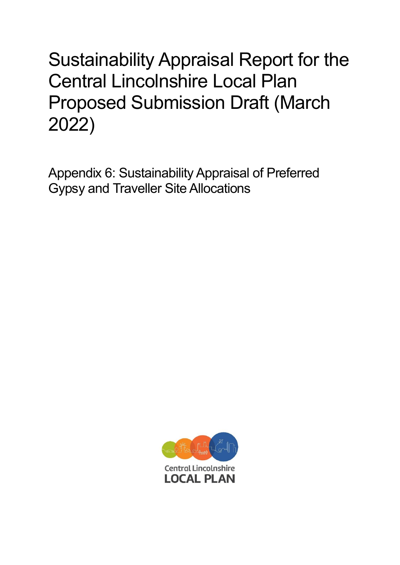## Sustainability Appraisal Report for the Central Lincolnshire Local Plan Proposed Submission Draft (March 2022)

Appendix 6: Sustainability Appraisal of Preferred Gypsy and Traveller Site Allocations

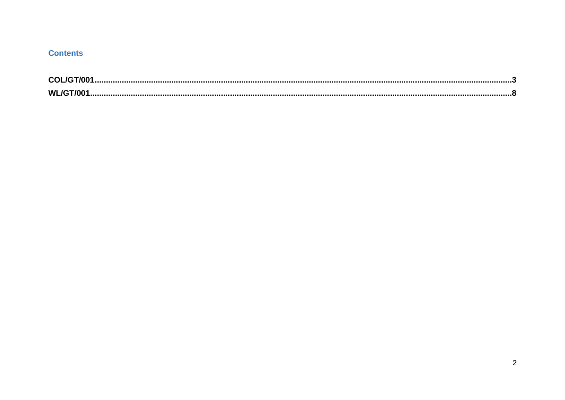## **Contents**

| <b>COL</b> |  |
|------------|--|
| <b>W</b>   |  |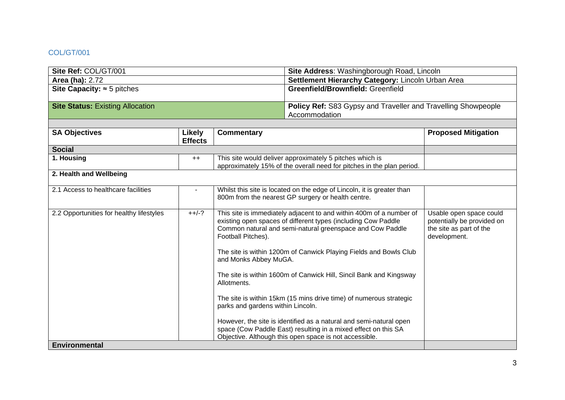## <span id="page-2-0"></span>COL/GT/001

| Site Ref: COL/GT/001                     |                          |                                                                                                                                                                                                                                                                                                                                                                                                                                                                                                                                                                                                                                                                                                                         | Site Address: Washingborough Road, Lincoln                                            |                                                                                                  |
|------------------------------------------|--------------------------|-------------------------------------------------------------------------------------------------------------------------------------------------------------------------------------------------------------------------------------------------------------------------------------------------------------------------------------------------------------------------------------------------------------------------------------------------------------------------------------------------------------------------------------------------------------------------------------------------------------------------------------------------------------------------------------------------------------------------|---------------------------------------------------------------------------------------|--------------------------------------------------------------------------------------------------|
| <b>Area (ha): 2.72</b>                   |                          |                                                                                                                                                                                                                                                                                                                                                                                                                                                                                                                                                                                                                                                                                                                         | Settlement Hierarchy Category: Lincoln Urban Area                                     |                                                                                                  |
| Site Capacity: $\approx$ 5 pitches       |                          |                                                                                                                                                                                                                                                                                                                                                                                                                                                                                                                                                                                                                                                                                                                         | Greenfield/Brownfield: Greenfield                                                     |                                                                                                  |
| <b>Site Status: Existing Allocation</b>  |                          |                                                                                                                                                                                                                                                                                                                                                                                                                                                                                                                                                                                                                                                                                                                         | <b>Policy Ref: S83 Gypsy and Traveller and Travelling Showpeople</b><br>Accommodation |                                                                                                  |
|                                          |                          |                                                                                                                                                                                                                                                                                                                                                                                                                                                                                                                                                                                                                                                                                                                         |                                                                                       |                                                                                                  |
| <b>SA Objectives</b>                     | Likely<br><b>Effects</b> | <b>Commentary</b>                                                                                                                                                                                                                                                                                                                                                                                                                                                                                                                                                                                                                                                                                                       |                                                                                       | <b>Proposed Mitigation</b>                                                                       |
| <b>Social</b>                            |                          |                                                                                                                                                                                                                                                                                                                                                                                                                                                                                                                                                                                                                                                                                                                         |                                                                                       |                                                                                                  |
| 1. Housing                               | $++$                     | This site would deliver approximately 5 pitches which is<br>approximately 15% of the overall need for pitches in the plan period.                                                                                                                                                                                                                                                                                                                                                                                                                                                                                                                                                                                       |                                                                                       |                                                                                                  |
| 2. Health and Wellbeing                  |                          |                                                                                                                                                                                                                                                                                                                                                                                                                                                                                                                                                                                                                                                                                                                         |                                                                                       |                                                                                                  |
| 2.1 Access to healthcare facilities      |                          | Whilst this site is located on the edge of Lincoln, it is greater than<br>800m from the nearest GP surgery or health centre.                                                                                                                                                                                                                                                                                                                                                                                                                                                                                                                                                                                            |                                                                                       |                                                                                                  |
| 2.2 Opportunities for healthy lifestyles | $++/-?$                  | This site is immediately adjacent to and within 400m of a number of<br>existing open spaces of different types (including Cow Paddle<br>Common natural and semi-natural greenspace and Cow Paddle<br>Football Pitches).<br>The site is within 1200m of Canwick Playing Fields and Bowls Club<br>and Monks Abbey MuGA.<br>The site is within 1600m of Canwick Hill, Sincil Bank and Kingsway<br>Allotments.<br>The site is within 15km (15 mins drive time) of numerous strategic<br>parks and gardens within Lincoln.<br>However, the site is identified as a natural and semi-natural open<br>space (Cow Paddle East) resulting in a mixed effect on this SA<br>Objective. Although this open space is not accessible. |                                                                                       | Usable open space could<br>potentially be provided on<br>the site as part of the<br>development. |
| <b>Environmental</b>                     |                          |                                                                                                                                                                                                                                                                                                                                                                                                                                                                                                                                                                                                                                                                                                                         |                                                                                       |                                                                                                  |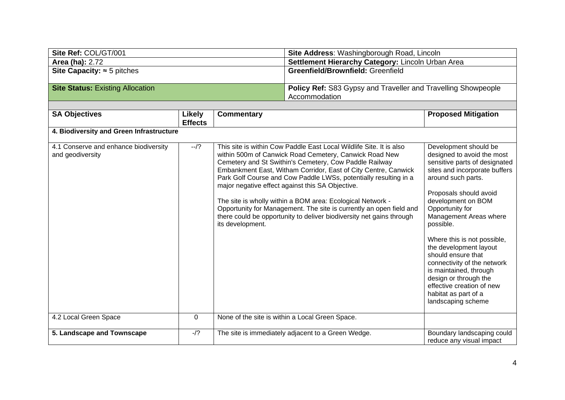| Site Ref: COL/GT/001                                      |                          |                                                   | Site Address: Washingborough Road, Lincoln                                                                                                                                                                                                                                                                                                                                                                                                                                                                                                                                                     |                                                                                                                                                                                                                                                                                                                                                                                                                                                                                                   |
|-----------------------------------------------------------|--------------------------|---------------------------------------------------|------------------------------------------------------------------------------------------------------------------------------------------------------------------------------------------------------------------------------------------------------------------------------------------------------------------------------------------------------------------------------------------------------------------------------------------------------------------------------------------------------------------------------------------------------------------------------------------------|---------------------------------------------------------------------------------------------------------------------------------------------------------------------------------------------------------------------------------------------------------------------------------------------------------------------------------------------------------------------------------------------------------------------------------------------------------------------------------------------------|
| <b>Area (ha): 2.72</b>                                    |                          | Settlement Hierarchy Category: Lincoln Urban Area |                                                                                                                                                                                                                                                                                                                                                                                                                                                                                                                                                                                                |                                                                                                                                                                                                                                                                                                                                                                                                                                                                                                   |
| Site Capacity: $\approx$ 5 pitches                        |                          | Greenfield/Brownfield: Greenfield                 |                                                                                                                                                                                                                                                                                                                                                                                                                                                                                                                                                                                                |                                                                                                                                                                                                                                                                                                                                                                                                                                                                                                   |
| <b>Site Status: Existing Allocation</b>                   |                          |                                                   | Policy Ref: S83 Gypsy and Traveller and Travelling Showpeople<br>Accommodation                                                                                                                                                                                                                                                                                                                                                                                                                                                                                                                 |                                                                                                                                                                                                                                                                                                                                                                                                                                                                                                   |
|                                                           |                          |                                                   |                                                                                                                                                                                                                                                                                                                                                                                                                                                                                                                                                                                                |                                                                                                                                                                                                                                                                                                                                                                                                                                                                                                   |
| <b>SA Objectives</b>                                      | Likely<br><b>Effects</b> | <b>Commentary</b>                                 |                                                                                                                                                                                                                                                                                                                                                                                                                                                                                                                                                                                                | <b>Proposed Mitigation</b>                                                                                                                                                                                                                                                                                                                                                                                                                                                                        |
| 4. Biodiversity and Green Infrastructure                  |                          |                                                   |                                                                                                                                                                                                                                                                                                                                                                                                                                                                                                                                                                                                |                                                                                                                                                                                                                                                                                                                                                                                                                                                                                                   |
| 4.1 Conserve and enhance biodiversity<br>and geodiversity | $-1$ ?                   | its development.                                  | This site is within Cow Paddle East Local Wildlife Site. It is also<br>within 500m of Canwick Road Cemetery, Canwick Road New<br>Cemetery and St Swithin's Cemetery, Cow Paddle Railway<br>Embankment East, Witham Corridor, East of City Centre, Canwick<br>Park Golf Course and Cow Paddle LWSs, potentially resulting in a<br>major negative effect against this SA Objective.<br>The site is wholly within a BOM area: Ecological Network -<br>Opportunity for Management. The site is currently an open field and<br>there could be opportunity to deliver biodiversity net gains through | Development should be<br>designed to avoid the most<br>sensitive parts of designated<br>sites and incorporate buffers<br>around such parts.<br>Proposals should avoid<br>development on BOM<br>Opportunity for<br>Management Areas where<br>possible.<br>Where this is not possible,<br>the development layout<br>should ensure that<br>connectivity of the network<br>is maintained, through<br>design or through the<br>effective creation of new<br>habitat as part of a<br>landscaping scheme |
| 4.2 Local Green Space                                     | $\mathbf 0$              |                                                   | None of the site is within a Local Green Space.                                                                                                                                                                                                                                                                                                                                                                                                                                                                                                                                                |                                                                                                                                                                                                                                                                                                                                                                                                                                                                                                   |
| 5. Landscape and Townscape                                | $-1$ ?                   |                                                   | The site is immediately adjacent to a Green Wedge.                                                                                                                                                                                                                                                                                                                                                                                                                                                                                                                                             | Boundary landscaping could<br>reduce any visual impact                                                                                                                                                                                                                                                                                                                                                                                                                                            |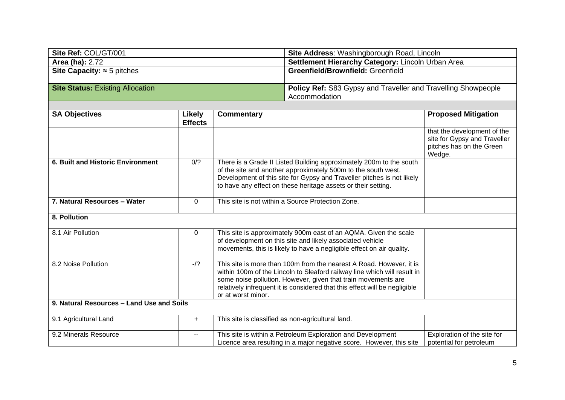| Site Ref: COL/GT/001                    | <b>Site Address: Washingborough Road, Lincoln</b>                    |
|-----------------------------------------|----------------------------------------------------------------------|
| <b>Area (ha): 2.72</b>                  | Settlement Hierarchy Category: Lincoln Urban Area                    |
| Site Capacity: $\approx$ 5 pitches      | <b>Greenfield/Brownfield: Greenfield</b>                             |
|                                         |                                                                      |
| <b>Site Status: Existing Allocation</b> | <b>Policy Ref:</b> S83 Gypsy and Traveller and Travelling Showpeople |
|                                         | Accommodation                                                        |

 $\mathsf{L}$ 

| <b>SA Objectives</b>                      | Likely<br><b>Effects</b> | <b>Commentary</b>                                                                                                                                                                                                                                                                                                    | <b>Proposed Mitigation</b>                                                                        |
|-------------------------------------------|--------------------------|----------------------------------------------------------------------------------------------------------------------------------------------------------------------------------------------------------------------------------------------------------------------------------------------------------------------|---------------------------------------------------------------------------------------------------|
|                                           |                          |                                                                                                                                                                                                                                                                                                                      | that the development of the<br>site for Gypsy and Traveller<br>pitches has on the Green<br>Wedge. |
| 6. Built and Historic Environment         | 0/2                      | There is a Grade II Listed Building approximately 200m to the south<br>of the site and another approximately 500m to the south west.<br>Development of this site for Gypsy and Traveller pitches is not likely<br>to have any effect on these heritage assets or their setting.                                      |                                                                                                   |
| 7. Natural Resources - Water              | 0                        | This site is not within a Source Protection Zone.                                                                                                                                                                                                                                                                    |                                                                                                   |
| 8. Pollution                              |                          |                                                                                                                                                                                                                                                                                                                      |                                                                                                   |
| 8.1 Air Pollution                         | $\Omega$                 | This site is approximately 900m east of an AQMA. Given the scale<br>of development on this site and likely associated vehicle<br>movements, this is likely to have a negligible effect on air quality.                                                                                                               |                                                                                                   |
| 8.2 Noise Pollution                       | $-1$ ?                   | This site is more than 100m from the nearest A Road. However, it is<br>within 100m of the Lincoln to Sleaford railway line which will result in<br>some noise pollution. However, given that train movements are<br>relatively infrequent it is considered that this effect will be negligible<br>or at worst minor. |                                                                                                   |
| 9. Natural Resources - Land Use and Soils |                          |                                                                                                                                                                                                                                                                                                                      |                                                                                                   |
| 9.1 Agricultural Land                     | $+$                      | This site is classified as non-agricultural land.                                                                                                                                                                                                                                                                    |                                                                                                   |
| 9.2 Minerals Resource                     |                          | This site is within a Petroleum Exploration and Development<br>Licence area resulting in a major negative score. However, this site                                                                                                                                                                                  | Exploration of the site for<br>potential for petroleum                                            |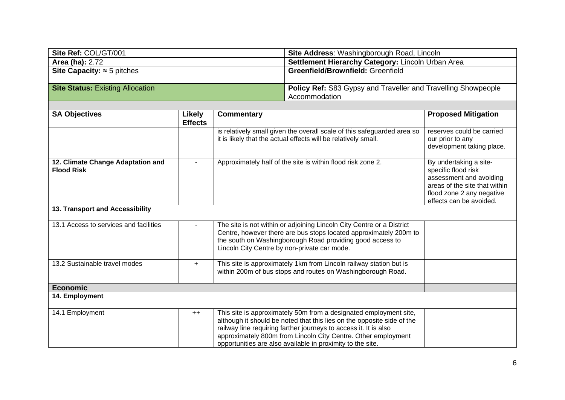| Site Ref: COL/GT/001                    | <b>Site Address: Washingborough Road, Lincoln</b>                    |
|-----------------------------------------|----------------------------------------------------------------------|
| <b>Area (ha): 2.72</b>                  | Settlement Hierarchy Category: Lincoln Urban Area                    |
| Site Capacity: $\approx$ 5 pitches      | <b>Greenfield/Brownfield: Greenfield</b>                             |
|                                         |                                                                      |
| <b>Site Status: Existing Allocation</b> | <b>Policy Ref: S83 Gypsy and Traveller and Travelling Showpeople</b> |
|                                         | Accommodation                                                        |

| <b>SA Objectives</b>                   | Likely         | <b>Commentary</b>                                                       | <b>Proposed Mitigation</b>                           |
|----------------------------------------|----------------|-------------------------------------------------------------------------|------------------------------------------------------|
|                                        | <b>Effects</b> |                                                                         |                                                      |
|                                        |                | is relatively small given the overall scale of this safeguarded area so | reserves could be carried                            |
|                                        |                | it is likely that the actual effects will be relatively small.          | our prior to any                                     |
|                                        |                |                                                                         | development taking place.                            |
|                                        |                |                                                                         |                                                      |
| 12. Climate Change Adaptation and      |                | Approximately half of the site is within flood risk zone 2.             | By undertaking a site-                               |
| <b>Flood Risk</b>                      |                |                                                                         | specific flood risk                                  |
|                                        |                |                                                                         | assessment and avoiding                              |
|                                        |                |                                                                         | areas of the site that within                        |
|                                        |                |                                                                         | flood zone 2 any negative<br>effects can be avoided. |
| 13. Transport and Accessibility        |                |                                                                         |                                                      |
|                                        |                |                                                                         |                                                      |
| 13.1 Access to services and facilities |                | The site is not within or adjoining Lincoln City Centre or a District   |                                                      |
|                                        |                | Centre, however there are bus stops located approximately 200m to       |                                                      |
|                                        |                | the south on Washingborough Road providing good access to               |                                                      |
|                                        |                | Lincoln City Centre by non-private car mode.                            |                                                      |
| 13.2 Sustainable travel modes          | $+$            | This site is approximately 1km from Lincoln railway station but is      |                                                      |
|                                        |                | within 200m of bus stops and routes on Washingborough Road.             |                                                      |
|                                        |                |                                                                         |                                                      |
| <b>Economic</b>                        |                |                                                                         |                                                      |
| 14. Employment                         |                |                                                                         |                                                      |
|                                        |                |                                                                         |                                                      |
| 14.1 Employment                        | $++$           | This site is approximately 50m from a designated employment site,       |                                                      |
|                                        |                | although it should be noted that this lies on the opposite side of the  |                                                      |
|                                        |                | railway line requiring farther journeys to access it. It is also        |                                                      |
|                                        |                | approximately 800m from Lincoln City Centre. Other employment           |                                                      |
|                                        |                | opportunities are also available in proximity to the site.              |                                                      |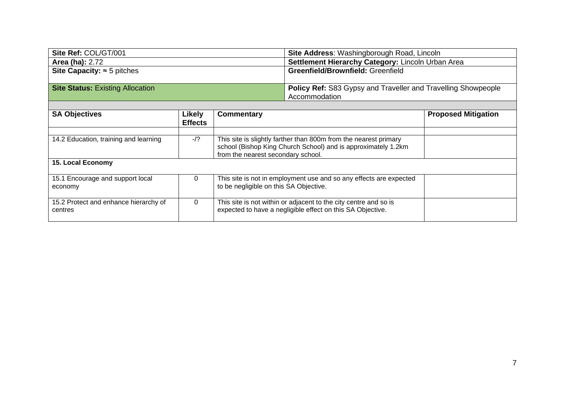| Site Ref: COL/GT/001                             |                          | Site Address: Washingborough Road, Lincoln                                                                                                                              |  |                            |
|--------------------------------------------------|--------------------------|-------------------------------------------------------------------------------------------------------------------------------------------------------------------------|--|----------------------------|
| <b>Area (ha): 2.72</b>                           |                          | Settlement Hierarchy Category: Lincoln Urban Area                                                                                                                       |  |                            |
| Site Capacity: $\approx$ 5 pitches               |                          | Greenfield/Brownfield: Greenfield                                                                                                                                       |  |                            |
| <b>Site Status: Existing Allocation</b>          |                          | <b>Policy Ref:</b> S83 Gypsy and Traveller and Travelling Showpeople<br>Accommodation                                                                                   |  |                            |
|                                                  |                          |                                                                                                                                                                         |  |                            |
| <b>SA Objectives</b>                             | Likely<br><b>Effects</b> | <b>Commentary</b>                                                                                                                                                       |  | <b>Proposed Mitigation</b> |
|                                                  |                          |                                                                                                                                                                         |  |                            |
| 14.2 Education, training and learning            | $-1?$                    | This site is slightly farther than 800m from the nearest primary<br>school (Bishop King Church School) and is approximately 1.2km<br>from the nearest secondary school. |  |                            |
| 15. Local Economy                                |                          |                                                                                                                                                                         |  |                            |
| 15.1 Encourage and support local<br>economy      | $\Omega$                 | This site is not in employment use and so any effects are expected<br>to be negligible on this SA Objective.                                                            |  |                            |
| 15.2 Protect and enhance hierarchy of<br>centres | $\Omega$                 | This site is not within or adjacent to the city centre and so is<br>expected to have a negligible effect on this SA Objective.                                          |  |                            |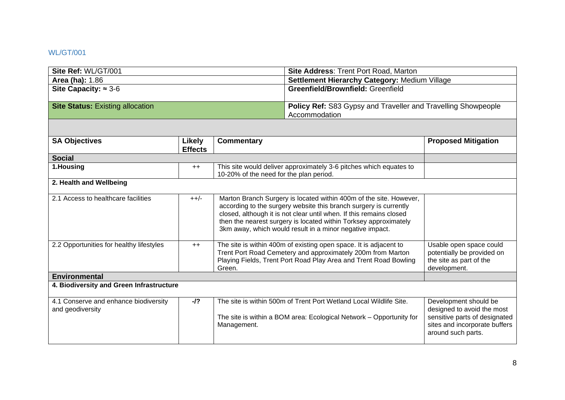## <span id="page-7-0"></span>WL/GT/001

| Site Ref: WL/GT/001                                       |                                 |                                                                                                                                                                                                                                                                                                                                                | <b>Site Address: Trent Port Road, Marton</b>                                                                                              |                                                                                                                                             |
|-----------------------------------------------------------|---------------------------------|------------------------------------------------------------------------------------------------------------------------------------------------------------------------------------------------------------------------------------------------------------------------------------------------------------------------------------------------|-------------------------------------------------------------------------------------------------------------------------------------------|---------------------------------------------------------------------------------------------------------------------------------------------|
| <b>Area (ha): 1.86</b>                                    |                                 |                                                                                                                                                                                                                                                                                                                                                | Settlement Hierarchy Category: Medium Village                                                                                             |                                                                                                                                             |
| Site Capacity: $\approx 3-6$                              |                                 |                                                                                                                                                                                                                                                                                                                                                | Greenfield/Brownfield: Greenfield                                                                                                         |                                                                                                                                             |
| <b>Site Status: Existing allocation</b>                   |                                 |                                                                                                                                                                                                                                                                                                                                                | Policy Ref: S83 Gypsy and Traveller and Travelling Showpeople<br>Accommodation                                                            |                                                                                                                                             |
|                                                           |                                 |                                                                                                                                                                                                                                                                                                                                                |                                                                                                                                           |                                                                                                                                             |
| <b>SA Objectives</b>                                      | <b>Likely</b><br><b>Effects</b> | <b>Commentary</b>                                                                                                                                                                                                                                                                                                                              |                                                                                                                                           | <b>Proposed Mitigation</b>                                                                                                                  |
| <b>Social</b>                                             |                                 |                                                                                                                                                                                                                                                                                                                                                |                                                                                                                                           |                                                                                                                                             |
| 1.Housing                                                 | $++$                            | 10-20% of the need for the plan period.                                                                                                                                                                                                                                                                                                        | This site would deliver approximately 3-6 pitches which equates to                                                                        |                                                                                                                                             |
| 2. Health and Wellbeing                                   |                                 |                                                                                                                                                                                                                                                                                                                                                |                                                                                                                                           |                                                                                                                                             |
| 2.1 Access to healthcare facilities                       | $++/-$                          | Marton Branch Surgery is located within 400m of the site. However,<br>according to the surgery website this branch surgery is currently<br>closed, although it is not clear until when. If this remains closed<br>then the nearest surgery is located within Torksey approximately<br>3km away, which would result in a minor negative impact. |                                                                                                                                           |                                                                                                                                             |
| 2.2 Opportunities for healthy lifestyles                  | $++$                            | The site is within 400m of existing open space. It is adjacent to<br>Trent Port Road Cemetery and approximately 200m from Marton<br>Playing Fields, Trent Port Road Play Area and Trent Road Bowling<br>Green.                                                                                                                                 |                                                                                                                                           | Usable open space could<br>potentially be provided on<br>the site as part of the<br>development.                                            |
| <b>Environmental</b>                                      |                                 |                                                                                                                                                                                                                                                                                                                                                |                                                                                                                                           |                                                                                                                                             |
| 4. Biodiversity and Green Infrastructure                  |                                 |                                                                                                                                                                                                                                                                                                                                                |                                                                                                                                           |                                                                                                                                             |
| 4.1 Conserve and enhance biodiversity<br>and geodiversity | $-I$ ?                          | Management.                                                                                                                                                                                                                                                                                                                                    | The site is within 500m of Trent Port Wetland Local Wildlife Site.<br>The site is within a BOM area: Ecological Network - Opportunity for | Development should be<br>designed to avoid the most<br>sensitive parts of designated<br>sites and incorporate buffers<br>around such parts. |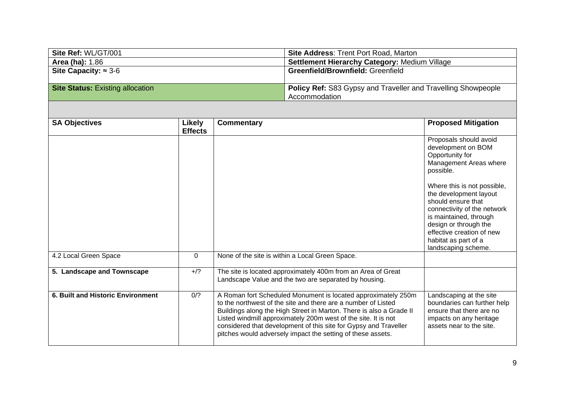| Site Ref: WL/GT/001                     | <b>Site Address: Trent Port Road, Marton</b>                         |
|-----------------------------------------|----------------------------------------------------------------------|
| <b>Area (ha): 1.86</b>                  | <b>Settlement Hierarchy Category: Medium Village</b>                 |
| Site Capacity: $\approx$ 3-6            | <b>Greenfield/Brownfield: Greenfield</b>                             |
|                                         |                                                                      |
| <b>Site Status: Existing allocation</b> | <b>Policy Ref: S83 Gypsy and Traveller and Travelling Showpeople</b> |
|                                         | Accommodation                                                        |

| <b>SA Objectives</b>                     | <b>Likely</b>  | <b>Commentary</b>                                                                                                                                                                                                                                                                                                                                                                                          | <b>Proposed Mitigation</b>                                                                                                                                                       |
|------------------------------------------|----------------|------------------------------------------------------------------------------------------------------------------------------------------------------------------------------------------------------------------------------------------------------------------------------------------------------------------------------------------------------------------------------------------------------------|----------------------------------------------------------------------------------------------------------------------------------------------------------------------------------|
|                                          | <b>Effects</b> |                                                                                                                                                                                                                                                                                                                                                                                                            | Proposals should avoid<br>development on BOM<br>Opportunity for<br>Management Areas where<br>possible.<br>Where this is not possible,<br>the development layout                  |
|                                          |                |                                                                                                                                                                                                                                                                                                                                                                                                            | should ensure that<br>connectivity of the network<br>is maintained, through<br>design or through the<br>effective creation of new<br>habitat as part of a<br>landscaping scheme. |
| 4.2 Local Green Space                    | $\mathbf 0$    | None of the site is within a Local Green Space.                                                                                                                                                                                                                                                                                                                                                            |                                                                                                                                                                                  |
| 5. Landscape and Townscape               | $+$ /?         | The site is located approximately 400m from an Area of Great<br>Landscape Value and the two are separated by housing.                                                                                                                                                                                                                                                                                      |                                                                                                                                                                                  |
| <b>6. Built and Historic Environment</b> | 0/2            | A Roman fort Scheduled Monument is located approximately 250m<br>to the northwest of the site and there are a number of Listed<br>Buildings along the High Street in Marton. There is also a Grade II<br>Listed windmill approximately 200m west of the site. It is not<br>considered that development of this site for Gypsy and Traveller<br>pitches would adversely impact the setting of these assets. | Landscaping at the site<br>boundaries can further help<br>ensure that there are no<br>impacts on any heritage<br>assets near to the site.                                        |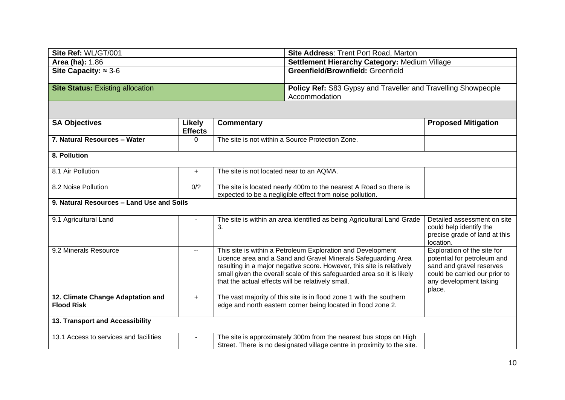| Site Ref: WL/GT/001                                    |                                 |                                                                                                                                                                                                                                                                                                                                      | <b>Site Address: Trent Port Road, Marton</b>                                   |                                                                                                                                                             |
|--------------------------------------------------------|---------------------------------|--------------------------------------------------------------------------------------------------------------------------------------------------------------------------------------------------------------------------------------------------------------------------------------------------------------------------------------|--------------------------------------------------------------------------------|-------------------------------------------------------------------------------------------------------------------------------------------------------------|
| <b>Area (ha): 1.86</b>                                 |                                 |                                                                                                                                                                                                                                                                                                                                      | Settlement Hierarchy Category: Medium Village                                  |                                                                                                                                                             |
| Site Capacity: $\approx 3.6$                           |                                 |                                                                                                                                                                                                                                                                                                                                      | Greenfield/Brownfield: Greenfield                                              |                                                                                                                                                             |
| <b>Site Status: Existing allocation</b>                |                                 |                                                                                                                                                                                                                                                                                                                                      | Policy Ref: S83 Gypsy and Traveller and Travelling Showpeople<br>Accommodation |                                                                                                                                                             |
|                                                        |                                 |                                                                                                                                                                                                                                                                                                                                      |                                                                                |                                                                                                                                                             |
| <b>SA Objectives</b>                                   | <b>Likely</b><br><b>Effects</b> | <b>Commentary</b>                                                                                                                                                                                                                                                                                                                    |                                                                                | <b>Proposed Mitigation</b>                                                                                                                                  |
| 7. Natural Resources - Water                           | $\Omega$                        | The site is not within a Source Protection Zone.                                                                                                                                                                                                                                                                                     |                                                                                |                                                                                                                                                             |
| 8. Pollution                                           |                                 |                                                                                                                                                                                                                                                                                                                                      |                                                                                |                                                                                                                                                             |
| 8.1 Air Pollution                                      | $\ddot{}$                       | The site is not located near to an AQMA.                                                                                                                                                                                                                                                                                             |                                                                                |                                                                                                                                                             |
| 8.2 Noise Pollution                                    | 0/2                             | The site is located nearly 400m to the nearest A Road so there is<br>expected to be a negligible effect from noise pollution.                                                                                                                                                                                                        |                                                                                |                                                                                                                                                             |
| 9. Natural Resources - Land Use and Soils              |                                 |                                                                                                                                                                                                                                                                                                                                      |                                                                                |                                                                                                                                                             |
| 9.1 Agricultural Land                                  |                                 | The site is within an area identified as being Agricultural Land Grade<br>3.                                                                                                                                                                                                                                                         |                                                                                | Detailed assessment on site<br>could help identify the<br>precise grade of land at this<br>location.                                                        |
| 9.2 Minerals Resource                                  | $\overline{\phantom{a}}$        | This site is within a Petroleum Exploration and Development<br>Licence area and a Sand and Gravel Minerals Safeguarding Area<br>resulting in a major negative score. However, this site is relatively<br>small given the overall scale of this safeguarded area so it is likely<br>that the actual effects will be relatively small. |                                                                                | Exploration of the site for<br>potential for petroleum and<br>sand and gravel reserves<br>could be carried our prior to<br>any development taking<br>place. |
| 12. Climate Change Adaptation and<br><b>Flood Risk</b> | $+$                             | The vast majority of this site is in flood zone 1 with the southern<br>edge and north eastern corner being located in flood zone 2.                                                                                                                                                                                                  |                                                                                |                                                                                                                                                             |
| 13. Transport and Accessibility                        |                                 |                                                                                                                                                                                                                                                                                                                                      |                                                                                |                                                                                                                                                             |
| 13.1 Access to services and facilities                 |                                 |                                                                                                                                                                                                                                                                                                                                      | The site is approximately 300m from the nearest bus stops on High              |                                                                                                                                                             |

Street. There is no designated village centre in proximity to the site.